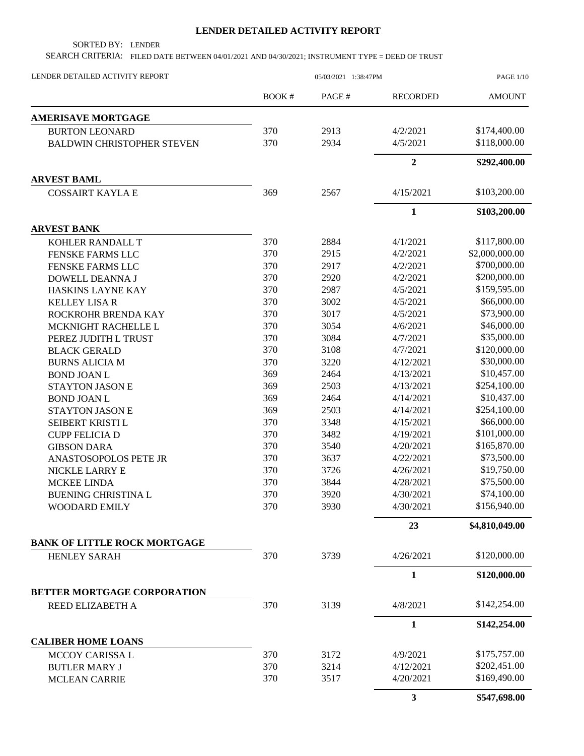## **LENDER DETAILED ACTIVITY REPORT**

SORTED BY: LENDER

SEARCH CRITERIA: FILED DATE BETWEEN 04/01/2021 AND 04/30/2021; INSTRUMENT TYPE = DEED OF TRUST

| LENDER DETAILED ACTIVITY REPORT     | 05/03/2021 1:38:47PM |       |                 | <b>PAGE 1/10</b> |
|-------------------------------------|----------------------|-------|-----------------|------------------|
|                                     | <b>BOOK#</b>         | PAGE# | <b>RECORDED</b> | <b>AMOUNT</b>    |
| <b>AMERISAVE MORTGAGE</b>           |                      |       |                 |                  |
| <b>BURTON LEONARD</b>               | 370                  | 2913  | 4/2/2021        | \$174,400.00     |
| <b>BALDWIN CHRISTOPHER STEVEN</b>   | 370                  | 2934  | 4/5/2021        | \$118,000.00     |
|                                     |                      |       | $\overline{2}$  | \$292,400.00     |
| <b>ARVEST BAML</b>                  |                      |       |                 |                  |
| <b>COSSAIRT KAYLA E</b>             | 369                  | 2567  | 4/15/2021       | \$103,200.00     |
|                                     |                      |       | $\mathbf{1}$    | \$103,200.00     |
| <b>ARVEST BANK</b>                  |                      |       |                 |                  |
| KOHLER RANDALL T                    | 370                  | 2884  | 4/1/2021        | \$117,800.00     |
| FENSKE FARMS LLC                    | 370                  | 2915  | 4/2/2021        | \$2,000,000.00   |
| FENSKE FARMS LLC                    | 370                  | 2917  | 4/2/2021        | \$700,000.00     |
| DOWELL DEANNA J                     | 370                  | 2920  | 4/2/2021        | \$200,000.00     |
| HASKINS LAYNE KAY                   | 370                  | 2987  | 4/5/2021        | \$159,595.00     |
| <b>KELLEY LISA R</b>                | 370                  | 3002  | 4/5/2021        | \$66,000.00      |
| ROCKROHR BRENDA KAY                 | 370                  | 3017  | 4/5/2021        | \$73,900.00      |
| MCKNIGHT RACHELLE L                 | 370                  | 3054  | 4/6/2021        | \$46,000.00      |
| PEREZ JUDITH L TRUST                | 370                  | 3084  | 4/7/2021        | \$35,000.00      |
| <b>BLACK GERALD</b>                 | 370                  | 3108  | 4/7/2021        | \$120,000.00     |
| <b>BURNS ALICIA M</b>               | 370                  | 3220  | 4/12/2021       | \$30,000.00      |
| <b>BOND JOAN L</b>                  | 369                  | 2464  | 4/13/2021       | \$10,457.00      |
| <b>STAYTON JASON E</b>              | 369                  | 2503  | 4/13/2021       | \$254,100.00     |
| <b>BOND JOAN L</b>                  | 369                  | 2464  | 4/14/2021       | \$10,437.00      |
| <b>STAYTON JASON E</b>              | 369                  | 2503  | 4/14/2021       | \$254,100.00     |
| SEIBERT KRISTI L                    | 370                  | 3348  | 4/15/2021       | \$66,000.00      |
| <b>CUPP FELICIA D</b>               | 370                  | 3482  | 4/19/2021       | \$101,000.00     |
| <b>GIBSON DARA</b>                  | 370                  | 3540  | 4/20/2021       | \$165,870.00     |
| ANASTOSOPOLOS PETE JR               | 370                  | 3637  | 4/22/2021       | \$73,500.00      |
| NICKLE LARRY E                      | 370                  | 3726  | 4/26/2021       | \$19,750.00      |
| <b>MCKEE LINDA</b>                  | 370                  | 3844  | 4/28/2021       | \$75,500.00      |
| <b>BUENING CHRISTINA L</b>          | 370                  | 3920  | 4/30/2021       | \$74,100.00      |
| WOODARD EMILY                       | 370                  | 3930  | 4/30/2021       | \$156,940.00     |
|                                     |                      |       | 23              | \$4,810,049.00   |
| <b>BANK OF LITTLE ROCK MORTGAGE</b> |                      |       |                 |                  |
| <b>HENLEY SARAH</b>                 | 370                  | 3739  | 4/26/2021       | \$120,000.00     |
|                                     |                      |       | $\mathbf{1}$    | \$120,000.00     |
| <b>BETTER MORTGAGE CORPORATION</b>  |                      |       |                 |                  |
| REED ELIZABETH A                    | 370                  | 3139  | 4/8/2021        | \$142,254.00     |
|                                     |                      |       | $\mathbf{1}$    | \$142,254.00     |
| <b>CALIBER HOME LOANS</b>           |                      |       |                 |                  |
| MCCOY CARISSA L                     | 370                  | 3172  | 4/9/2021        | \$175,757.00     |
| <b>BUTLER MARY J</b>                | 370                  | 3214  | 4/12/2021       | \$202,451.00     |
| <b>MCLEAN CARRIE</b>                | 370                  | 3517  | 4/20/2021       | \$169,490.00     |
|                                     |                      |       | 3               | \$547,698.00     |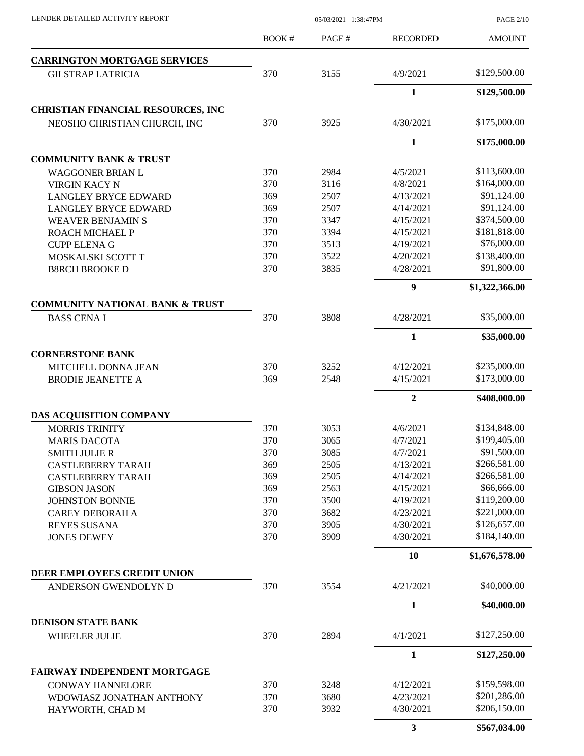| LENDER DETAILED ACTIVITY REPORT                                 | 05/03/2021 1:38:47PM |       |                 | <b>PAGE 2/10</b> |
|-----------------------------------------------------------------|----------------------|-------|-----------------|------------------|
|                                                                 | BOOK #               | PAGE# | <b>RECORDED</b> | <b>AMOUNT</b>    |
| <b>CARRINGTON MORTGAGE SERVICES</b>                             |                      |       |                 |                  |
| <b>GILSTRAP LATRICIA</b>                                        | 370                  | 3155  | 4/9/2021        | \$129,500.00     |
|                                                                 |                      |       | 1               | \$129,500.00     |
| <b>CHRISTIAN FINANCIAL RESOURCES, INC</b>                       |                      |       |                 |                  |
| NEOSHO CHRISTIAN CHURCH, INC                                    | 370                  | 3925  | 4/30/2021       | \$175,000.00     |
|                                                                 |                      |       | 1               | \$175,000.00     |
| <b>COMMUNITY BANK &amp; TRUST</b>                               |                      |       |                 |                  |
| <b>WAGGONER BRIAN L</b>                                         | 370                  | 2984  | 4/5/2021        | \$113,600.00     |
| <b>VIRGIN KACY N</b>                                            | 370                  | 3116  | 4/8/2021        | \$164,000.00     |
| <b>LANGLEY BRYCE EDWARD</b>                                     | 369                  | 2507  | 4/13/2021       | \$91,124.00      |
| <b>LANGLEY BRYCE EDWARD</b>                                     | 369                  | 2507  | 4/14/2021       | \$91,124.00      |
| <b>WEAVER BENJAMIN S</b>                                        | 370                  | 3347  | 4/15/2021       | \$374,500.00     |
| ROACH MICHAEL P                                                 | 370                  | 3394  | 4/15/2021       | \$181,818.00     |
| <b>CUPP ELENA G</b>                                             | 370                  | 3513  | 4/19/2021       | \$76,000.00      |
| MOSKALSKI SCOTT T                                               | 370                  | 3522  | 4/20/2021       | \$138,400.00     |
| <b>B8RCH BROOKE D</b>                                           | 370                  | 3835  | 4/28/2021       | \$91,800.00      |
|                                                                 |                      |       | 9               | \$1,322,366.00   |
| <b>COMMUNITY NATIONAL BANK &amp; TRUST</b><br><b>BASS CENAI</b> | 370                  | 3808  | 4/28/2021       | \$35,000.00      |
|                                                                 |                      |       | 1               | \$35,000.00      |
| <b>CORNERSTONE BANK</b>                                         |                      |       |                 |                  |
|                                                                 |                      |       |                 |                  |
| MITCHELL DONNA JEAN                                             | 370                  | 3252  | 4/12/2021       | \$235,000.00     |
| <b>BRODIE JEANETTE A</b>                                        | 369                  | 2548  | 4/15/2021       | \$173,000.00     |
|                                                                 |                      |       | $\overline{2}$  | \$408,000.00     |
| DAS ACQUISITION COMPANY                                         |                      |       |                 |                  |
| <b>MORRIS TRINITY</b>                                           | 370                  | 3053  | 4/6/2021        | \$134,848.00     |
| <b>MARIS DACOTA</b>                                             | 370                  | 3065  | 4/7/2021        | \$199,405.00     |
| <b>SMITH JULIE R</b>                                            | 370                  | 3085  | 4/7/2021        | \$91,500.00      |
| <b>CASTLEBERRY TARAH</b>                                        | 369                  | 2505  | 4/13/2021       | \$266,581.00     |
| <b>CASTLEBERRY TARAH</b>                                        | 369                  | 2505  | 4/14/2021       | \$266,581.00     |
| <b>GIBSON JASON</b>                                             | 369                  | 2563  | 4/15/2021       | \$66,666.00      |
| <b>JOHNSTON BONNIE</b>                                          | 370                  | 3500  | 4/19/2021       | \$119,200.00     |
| <b>CAREY DEBORAH A</b>                                          | 370                  | 3682  | 4/23/2021       | \$221,000.00     |
| <b>REYES SUSANA</b>                                             | 370                  | 3905  | 4/30/2021       | \$126,657.00     |
| <b>JONES DEWEY</b>                                              | 370                  | 3909  | 4/30/2021       | \$184,140.00     |
|                                                                 |                      |       | 10              | \$1,676,578.00   |
| DEER EMPLOYEES CREDIT UNION<br>ANDERSON GWENDOLYN D             | 370                  | 3554  | 4/21/2021       | \$40,000.00      |
|                                                                 |                      |       |                 |                  |
|                                                                 |                      |       | 1               | \$40,000.00      |
| <b>DENISON STATE BANK</b><br><b>WHEELER JULIE</b>               | 370                  | 2894  | 4/1/2021        | \$127,250.00     |
|                                                                 |                      |       |                 |                  |
|                                                                 |                      |       | 1               | \$127,250.00     |
| FAIRWAY INDEPENDENT MORTGAGE<br><b>CONWAY HANNELORE</b>         | 370                  | 3248  | 4/12/2021       | \$159,598.00     |
| WDOWIASZ JONATHAN ANTHONY                                       | 370                  | 3680  | 4/23/2021       | \$201,286.00     |
| HAYWORTH, CHAD M                                                | 370                  | 3932  | 4/30/2021       | \$206,150.00     |
|                                                                 |                      |       | $\mathbf{3}$    | \$567,034.00     |
|                                                                 |                      |       |                 |                  |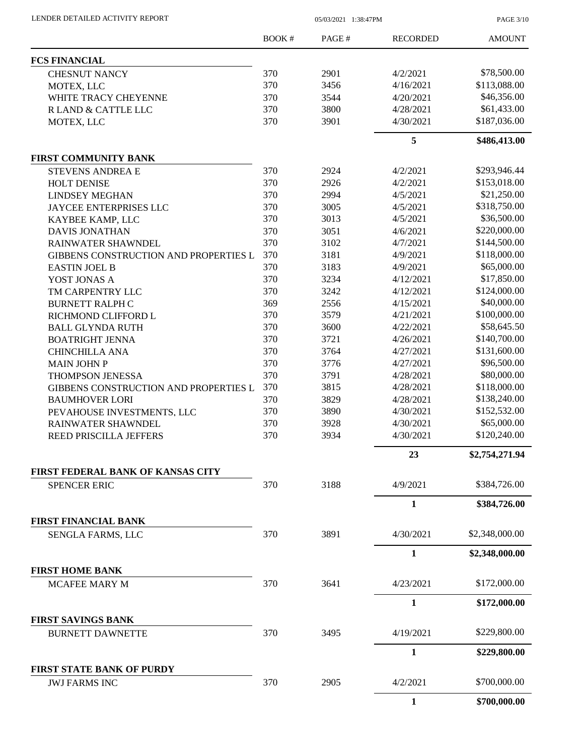LENDER DETAILED ACTIVITY REPORT 05/03/2021 1:38:47PM

PAGE 3/10

|                                                      | BOOK# | PAGE# | <b>RECORDED</b> | <b>AMOUNT</b>  |
|------------------------------------------------------|-------|-------|-----------------|----------------|
| <b>FCS FINANCIAL</b>                                 |       |       |                 |                |
| <b>CHESNUT NANCY</b>                                 | 370   | 2901  | 4/2/2021        | \$78,500.00    |
| MOTEX, LLC                                           | 370   | 3456  | 4/16/2021       | \$113,088.00   |
| WHITE TRACY CHEYENNE                                 | 370   | 3544  | 4/20/2021       | \$46,356.00    |
| R LAND & CATTLE LLC                                  | 370   | 3800  | 4/28/2021       | \$61,433.00    |
| MOTEX, LLC                                           | 370   | 3901  | 4/30/2021       | \$187,036.00   |
|                                                      |       |       | 5               | \$486,413.00   |
| <b>FIRST COMMUNITY BANK</b>                          |       |       |                 |                |
| <b>STEVENS ANDREA E</b>                              | 370   | 2924  | 4/2/2021        | \$293,946.44   |
| <b>HOLT DENISE</b>                                   | 370   | 2926  | 4/2/2021        | \$153,018.00   |
| <b>LINDSEY MEGHAN</b>                                | 370   | 2994  | 4/5/2021        | \$21,250.00    |
| JAYCEE ENTERPRISES LLC                               | 370   | 3005  | 4/5/2021        | \$318,750.00   |
| KAYBEE KAMP, LLC                                     | 370   | 3013  | 4/5/2021        | \$36,500.00    |
| <b>DAVIS JONATHAN</b>                                | 370   | 3051  | 4/6/2021        | \$220,000.00   |
| RAINWATER SHAWNDEL                                   | 370   | 3102  | 4/7/2021        | \$144,500.00   |
| GIBBENS CONSTRUCTION AND PROPERTIES L                | 370   | 3181  | 4/9/2021        | \$118,000.00   |
| <b>EASTIN JOEL B</b>                                 | 370   | 3183  | 4/9/2021        | \$65,000.00    |
| YOST JONAS A                                         | 370   | 3234  | 4/12/2021       | \$17,850.00    |
| TM CARPENTRY LLC                                     | 370   | 3242  | 4/12/2021       | \$124,000.00   |
| <b>BURNETT RALPH C</b>                               | 369   | 2556  | 4/15/2021       | \$40,000.00    |
| RICHMOND CLIFFORD L                                  | 370   | 3579  | 4/21/2021       | \$100,000.00   |
| <b>BALL GLYNDA RUTH</b>                              | 370   | 3600  | 4/22/2021       | \$58,645.50    |
|                                                      | 370   | 3721  | 4/26/2021       | \$140,700.00   |
| <b>BOATRIGHT JENNA</b>                               |       |       |                 |                |
| <b>CHINCHILLA ANA</b>                                | 370   | 3764  | 4/27/2021       | \$131,600.00   |
| <b>MAIN JOHN P</b>                                   | 370   | 3776  | 4/27/2021       | \$96,500.00    |
| <b>THOMPSON JENESSA</b>                              | 370   | 3791  | 4/28/2021       | \$80,000.00    |
| GIBBENS CONSTRUCTION AND PROPERTIES L                | 370   | 3815  | 4/28/2021       | \$118,000.00   |
| <b>BAUMHOVER LORI</b>                                | 370   | 3829  | 4/28/2021       | \$138,240.00   |
| PEVAHOUSE INVESTMENTS, LLC                           | 370   | 3890  | 4/30/2021       | \$152,532.00   |
| RAINWATER SHAWNDEL                                   | 370   | 3928  | 4/30/2021       | \$65,000.00    |
| REED PRISCILLA JEFFERS                               | 370   | 3934  | 4/30/2021       | \$120,240.00   |
|                                                      |       |       | 23              | \$2,754,271.94 |
| FIRST FEDERAL BANK OF KANSAS CITY                    |       |       |                 |                |
| <b>SPENCER ERIC</b>                                  | 370   | 3188  | 4/9/2021        | \$384,726.00   |
|                                                      |       |       | $\mathbf{1}$    | \$384,726.00   |
| <b>FIRST FINANCIAL BANK</b><br>SENGLA FARMS, LLC     | 370   | 3891  | 4/30/2021       | \$2,348,000.00 |
|                                                      |       |       | $\mathbf{1}$    |                |
| <b>FIRST HOME BANK</b>                               |       |       |                 | \$2,348,000.00 |
|                                                      |       |       |                 |                |
| <b>MCAFEE MARY M</b>                                 | 370   | 3641  | 4/23/2021       | \$172,000.00   |
|                                                      |       |       | $\mathbf{1}$    | \$172,000.00   |
| <b>FIRST SAVINGS BANK</b><br><b>BURNETT DAWNETTE</b> | 370   | 3495  | 4/19/2021       | \$229,800.00   |
|                                                      |       |       | $\mathbf{1}$    | \$229,800.00   |
| <b>FIRST STATE BANK OF PURDY</b>                     |       |       |                 |                |
| <b>JWJ FARMS INC</b>                                 | 370   | 2905  | 4/2/2021        | \$700,000.00   |
|                                                      |       |       | 1               | \$700,000.00   |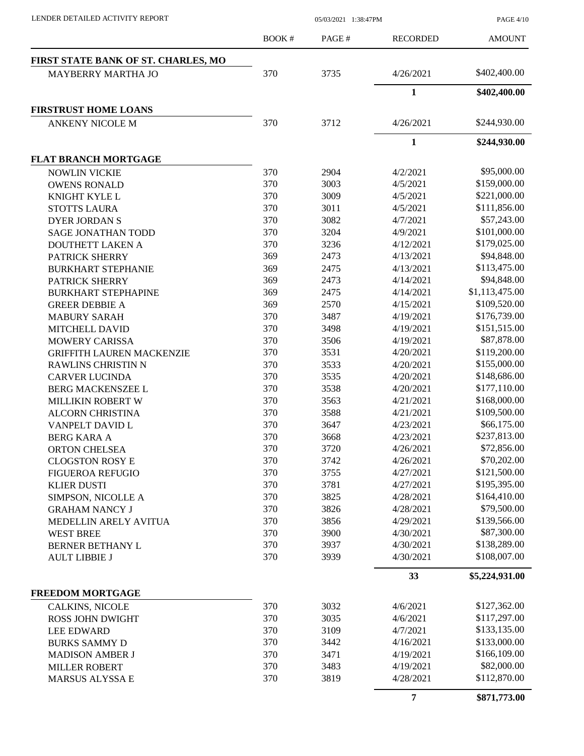PAGE 4/10

|                                     | <b>BOOK#</b> | PAGE# | <b>RECORDED</b> | <b>AMOUNT</b>  |
|-------------------------------------|--------------|-------|-----------------|----------------|
| FIRST STATE BANK OF ST. CHARLES, MO |              |       |                 |                |
| <b>MAYBERRY MARTHA JO</b>           | 370          | 3735  | 4/26/2021       | \$402,400.00   |
|                                     |              |       | $\mathbf{1}$    | \$402,400.00   |
| <b>FIRSTRUST HOME LOANS</b>         |              |       |                 |                |
| <b>ANKENY NICOLE M</b>              | 370          | 3712  | 4/26/2021       | \$244,930.00   |
|                                     |              |       | $\mathbf{1}$    | \$244,930.00   |
| <b>FLAT BRANCH MORTGAGE</b>         |              |       |                 |                |
| <b>NOWLIN VICKIE</b>                | 370          | 2904  | 4/2/2021        | \$95,000.00    |
| <b>OWENS RONALD</b>                 | 370          | 3003  | 4/5/2021        | \$159,000.00   |
| KNIGHT KYLE L                       | 370          | 3009  | 4/5/2021        | \$221,000.00   |
| <b>STOTTS LAURA</b>                 | 370          | 3011  | 4/5/2021        | \$111,856.00   |
| <b>DYER JORDAN S</b>                | 370          | 3082  | 4/7/2021        | \$57,243.00    |
| <b>SAGE JONATHAN TODD</b>           | 370          | 3204  | 4/9/2021        | \$101,000.00   |
| <b>DOUTHETT LAKEN A</b>             | 370          | 3236  | 4/12/2021       | \$179,025.00   |
| PATRICK SHERRY                      | 369          | 2473  | 4/13/2021       | \$94,848.00    |
| <b>BURKHART STEPHANIE</b>           | 369          | 2475  | 4/13/2021       | \$113,475.00   |
| PATRICK SHERRY                      | 369          | 2473  | 4/14/2021       | \$94,848.00    |
| <b>BURKHART STEPHAPINE</b>          | 369          | 2475  | 4/14/2021       | \$1,113,475.00 |
| <b>GREER DEBBIE A</b>               | 369          | 2570  | 4/15/2021       | \$109,520.00   |
| <b>MABURY SARAH</b>                 | 370          | 3487  | 4/19/2021       | \$176,739.00   |
| MITCHELL DAVID                      | 370          | 3498  | 4/19/2021       | \$151,515.00   |
| <b>MOWERY CARISSA</b>               | 370          | 3506  | 4/19/2021       | \$87,878.00    |
| <b>GRIFFITH LAUREN MACKENZIE</b>    | 370          | 3531  | 4/20/2021       | \$119,200.00   |
| RAWLINS CHRISTIN N                  | 370          | 3533  | 4/20/2021       | \$155,000.00   |
| <b>CARVER LUCINDA</b>               | 370          | 3535  | 4/20/2021       | \$148,686.00   |
| <b>BERG MACKENSZEE L</b>            | 370          | 3538  | 4/20/2021       | \$177,110.00   |
| <b>MILLIKIN ROBERT W</b>            | 370          | 3563  | 4/21/2021       | \$168,000.00   |
| <b>ALCORN CHRISTINA</b>             | 370          | 3588  | 4/21/2021       | \$109,500.00   |
| VANPELT DAVID L                     | 370          | 3647  | 4/23/2021       | \$66,175.00    |
| <b>BERG KARA A</b>                  | 370          | 3668  | 4/23/2021       | \$237,813.00   |
| <b>ORTON CHELSEA</b>                | 370          | 3720  | 4/26/2021       | \$72,856.00    |
| <b>CLOGSTON ROSY E</b>              | 370          | 3742  | 4/26/2021       | \$70,202.00    |
| <b>FIGUEROA REFUGIO</b>             | 370          | 3755  | 4/27/2021       | \$121,500.00   |
| <b>KLIER DUSTI</b>                  | 370          | 3781  | 4/27/2021       | \$195,395.00   |
| SIMPSON, NICOLLE A                  | 370          | 3825  | 4/28/2021       | \$164,410.00   |
| <b>GRAHAM NANCY J</b>               | 370          | 3826  | 4/28/2021       | \$79,500.00    |
| MEDELLIN ARELY AVITUA               | 370          | 3856  | 4/29/2021       | \$139,566.00   |
| <b>WEST BREE</b>                    | 370          | 3900  | 4/30/2021       | \$87,300.00    |
| BERNER BETHANY L                    | 370          | 3937  | 4/30/2021       | \$138,289.00   |
| <b>AULT LIBBIE J</b>                | 370          | 3939  | 4/30/2021       | \$108,007.00   |
|                                     |              |       | 33              | \$5,224,931.00 |
| <b>FREEDOM MORTGAGE</b>             |              |       |                 |                |
| <b>CALKINS, NICOLE</b>              | 370          | 3032  | 4/6/2021        | \$127,362.00   |
| <b>ROSS JOHN DWIGHT</b>             | 370          | 3035  | 4/6/2021        | \$117,297.00   |
| <b>LEE EDWARD</b>                   | 370          | 3109  | 4/7/2021        | \$133,135.00   |
| <b>BURKS SAMMY D</b>                | 370          | 3442  | 4/16/2021       | \$133,000.00   |
| <b>MADISON AMBER J</b>              | 370          | 3471  | 4/19/2021       | \$166,109.00   |
| <b>MILLER ROBERT</b>                | 370          | 3483  | 4/19/2021       | \$82,000.00    |
| <b>MARSUS ALYSSA E</b>              | 370          | 3819  | 4/28/2021       | \$112,870.00   |
|                                     |              |       | $\overline{7}$  | \$871,773.00   |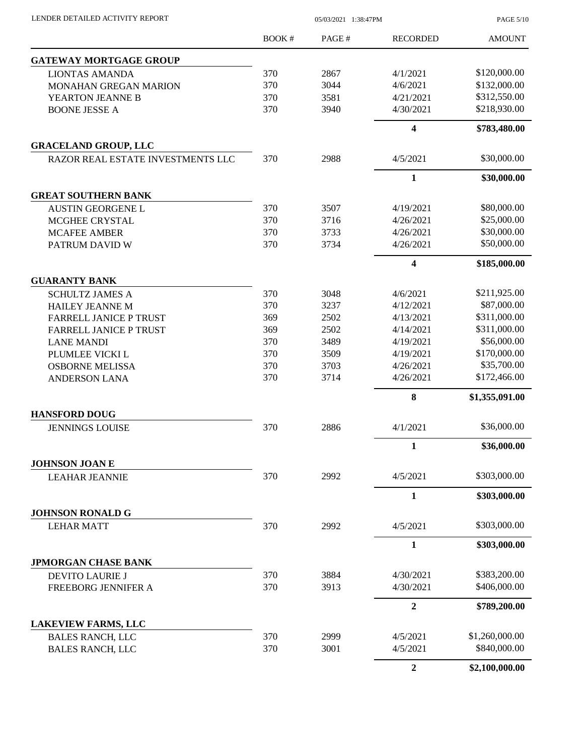| LENDER DETAILED ACTIVITY REPORT |  |
|---------------------------------|--|
|                                 |  |

05/03/2021 1:38:47PM

PAGE 5/10

|                                              | BOOK# | PAGE# | <b>RECORDED</b>  | <b>AMOUNT</b>  |
|----------------------------------------------|-------|-------|------------------|----------------|
| <b>GATEWAY MORTGAGE GROUP</b>                |       |       |                  |                |
| <b>LIONTAS AMANDA</b>                        | 370   | 2867  | 4/1/2021         | \$120,000.00   |
| <b>MONAHAN GREGAN MARION</b>                 | 370   | 3044  | 4/6/2021         | \$132,000.00   |
| YEARTON JEANNE B                             | 370   | 3581  | 4/21/2021        | \$312,550.00   |
| <b>BOONE JESSE A</b>                         | 370   | 3940  | 4/30/2021        | \$218,930.00   |
|                                              |       |       | 4                | \$783,480.00   |
| <b>GRACELAND GROUP, LLC</b>                  |       |       |                  |                |
| RAZOR REAL ESTATE INVESTMENTS LLC            | 370   | 2988  | 4/5/2021         | \$30,000.00    |
|                                              |       |       | 1                | \$30,000.00    |
| <b>GREAT SOUTHERN BANK</b>                   |       |       |                  |                |
| <b>AUSTIN GEORGENE L</b>                     | 370   | 3507  | 4/19/2021        | \$80,000.00    |
| MCGHEE CRYSTAL                               | 370   | 3716  | 4/26/2021        | \$25,000.00    |
| <b>MCAFEE AMBER</b>                          | 370   | 3733  | 4/26/2021        | \$30,000.00    |
| PATRUM DAVID W                               | 370   | 3734  | 4/26/2021        | \$50,000.00    |
|                                              |       |       | 4                | \$185,000.00   |
| <b>GUARANTY BANK</b>                         |       |       |                  |                |
| <b>SCHULTZ JAMES A</b>                       | 370   | 3048  | 4/6/2021         | \$211,925.00   |
| <b>HAILEY JEANNE M</b>                       | 370   | 3237  | 4/12/2021        | \$87,000.00    |
| <b>FARRELL JANICE P TRUST</b>                | 369   | 2502  | 4/13/2021        | \$311,000.00   |
| <b>FARRELL JANICE P TRUST</b>                | 369   | 2502  | 4/14/2021        | \$311,000.00   |
| <b>LANE MANDI</b>                            | 370   | 3489  | 4/19/2021        | \$56,000.00    |
| PLUMLEE VICKI L                              | 370   | 3509  | 4/19/2021        | \$170,000.00   |
| <b>OSBORNE MELISSA</b>                       | 370   | 3703  | 4/26/2021        | \$35,700.00    |
| <b>ANDERSON LANA</b>                         | 370   | 3714  | 4/26/2021        | \$172,466.00   |
|                                              |       |       | 8                | \$1,355,091.00 |
| <b>HANSFORD DOUG</b>                         |       |       |                  |                |
| <b>JENNINGS LOUISE</b>                       | 370   | 2886  | 4/1/2021         | \$36,000.00    |
|                                              |       |       | 1                | \$36,000.00    |
| <b>JOHNSON JOAN E</b>                        |       |       |                  |                |
| <b>LEAHAR JEANNIE</b>                        | 370   | 2992  | 4/5/2021         | \$303,000.00   |
|                                              |       |       | $\mathbf{1}$     | \$303,000.00   |
| <b>JOHNSON RONALD G</b><br><b>LEHAR MATT</b> | 370   | 2992  | 4/5/2021         | \$303,000.00   |
|                                              |       |       | $\mathbf{1}$     | \$303,000.00   |
| <b>JPMORGAN CHASE BANK</b>                   |       |       |                  |                |
| DEVITO LAURIE J                              | 370   | 3884  | 4/30/2021        | \$383,200.00   |
| FREEBORG JENNIFER A                          | 370   | 3913  | 4/30/2021        | \$406,000.00   |
|                                              |       |       | $\boldsymbol{2}$ | \$789,200.00   |
| <b>LAKEVIEW FARMS, LLC</b>                   |       |       |                  |                |
| <b>BALES RANCH, LLC</b>                      | 370   | 2999  | 4/5/2021         | \$1,260,000.00 |
| <b>BALES RANCH, LLC</b>                      | 370   | 3001  | 4/5/2021         | \$840,000.00   |
|                                              |       |       | $\mathbf{2}$     | \$2,100,000.00 |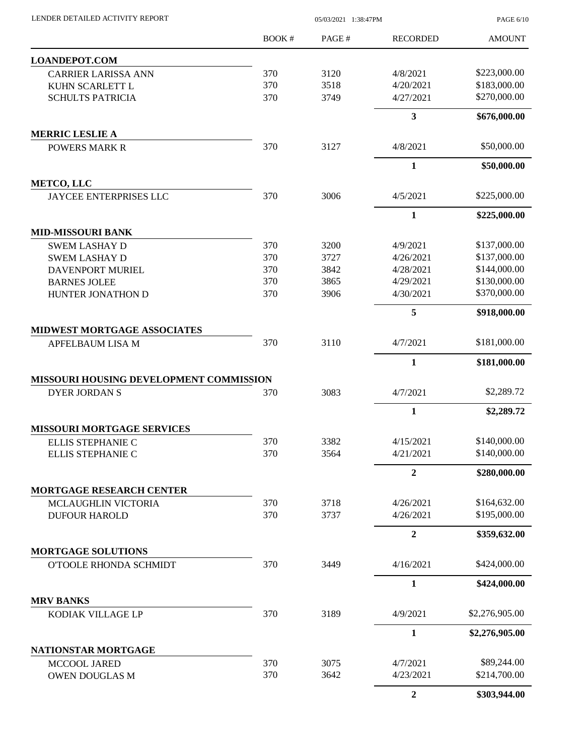| LENDER DETAILED ACTIVITY REPORT |  |
|---------------------------------|--|
|                                 |  |

05/03/2021 1:38:47PM

PAGE 6/10

|                                                        | <b>BOOK#</b> | PAGE# | <b>RECORDED</b>        | <b>AMOUNT</b>  |
|--------------------------------------------------------|--------------|-------|------------------------|----------------|
| <b>LOANDEPOT.COM</b>                                   |              |       |                        |                |
| <b>CARRIER LARISSA ANN</b>                             | 370          | 3120  | 4/8/2021               | \$223,000.00   |
| KUHN SCARLETT L                                        | 370          | 3518  | 4/20/2021              | \$183,000.00   |
| <b>SCHULTS PATRICIA</b>                                | 370          | 3749  | 4/27/2021              | \$270,000.00   |
|                                                        |              |       | 3                      | \$676,000.00   |
| <b>MERRIC LESLIE A</b>                                 |              |       |                        |                |
| <b>POWERS MARK R</b>                                   | 370          | 3127  | 4/8/2021               | \$50,000.00    |
|                                                        |              |       | $\mathbf{1}$           | \$50,000.00    |
| <b>METCO, LLC</b>                                      |              |       |                        |                |
| JAYCEE ENTERPRISES LLC                                 | 370          | 3006  | 4/5/2021               | \$225,000.00   |
|                                                        |              |       | 1                      | \$225,000.00   |
| <b>MID-MISSOURI BANK</b>                               |              |       |                        |                |
| <b>SWEM LASHAY D</b>                                   | 370          | 3200  | 4/9/2021               | \$137,000.00   |
| <b>SWEM LASHAY D</b>                                   | 370          | 3727  | 4/26/2021              | \$137,000.00   |
| <b>DAVENPORT MURIEL</b>                                | 370          | 3842  | 4/28/2021              | \$144,000.00   |
| <b>BARNES JOLEE</b>                                    | 370          | 3865  | 4/29/2021              | \$130,000.00   |
| HUNTER JONATHON D                                      | 370          | 3906  | 4/30/2021              | \$370,000.00   |
|                                                        |              |       | 5                      | \$918,000.00   |
| <b>MIDWEST MORTGAGE ASSOCIATES</b><br>APFELBAUM LISA M | 370          | 3110  | 4/7/2021               | \$181,000.00   |
|                                                        |              |       |                        |                |
|                                                        |              |       | $\mathbf{1}$           | \$181,000.00   |
| MISSOURI HOUSING DEVELOPMENT COMMISSION                | 370          | 3083  | 4/7/2021               | \$2,289.72     |
| <b>DYER JORDAN S</b>                                   |              |       |                        |                |
|                                                        |              |       | 1                      | \$2,289.72     |
| <b>MISSOURI MORTGAGE SERVICES</b>                      |              |       |                        |                |
| ELLIS STEPHANIE C                                      | 370          | 3382  | 4/15/2021              | \$140,000.00   |
| ELLIS STEPHANIE C                                      | 370          | 3564  | 4/21/2021              | \$140,000.00   |
|                                                        |              |       | $\overline{2}$         | \$280,000.00   |
| <b>MORTGAGE RESEARCH CENTER</b>                        |              | 3718  |                        | \$164,632.00   |
| MCLAUGHLIN VICTORIA<br><b>DUFOUR HAROLD</b>            | 370<br>370   | 3737  | 4/26/2021<br>4/26/2021 | \$195,000.00   |
|                                                        |              |       |                        |                |
|                                                        |              |       | $\overline{2}$         | \$359,632.00   |
| <b>MORTGAGE SOLUTIONS</b><br>O'TOOLE RHONDA SCHMIDT    | 370          | 3449  | 4/16/2021              | \$424,000.00   |
|                                                        |              |       |                        | \$424,000.00   |
| <b>MRV BANKS</b>                                       |              |       | 1                      |                |
| KODIAK VILLAGE LP                                      | 370          | 3189  | 4/9/2021               | \$2,276,905.00 |
|                                                        |              |       | $\mathbf{1}$           | \$2,276,905.00 |
| NATIONSTAR MORTGAGE                                    |              |       |                        |                |
| MCCOOL JARED                                           | 370          | 3075  | 4/7/2021               | \$89,244.00    |
| <b>OWEN DOUGLAS M</b>                                  | 370          | 3642  | 4/23/2021              | \$214,700.00   |
|                                                        |              |       | $\boldsymbol{2}$       | \$303,944.00   |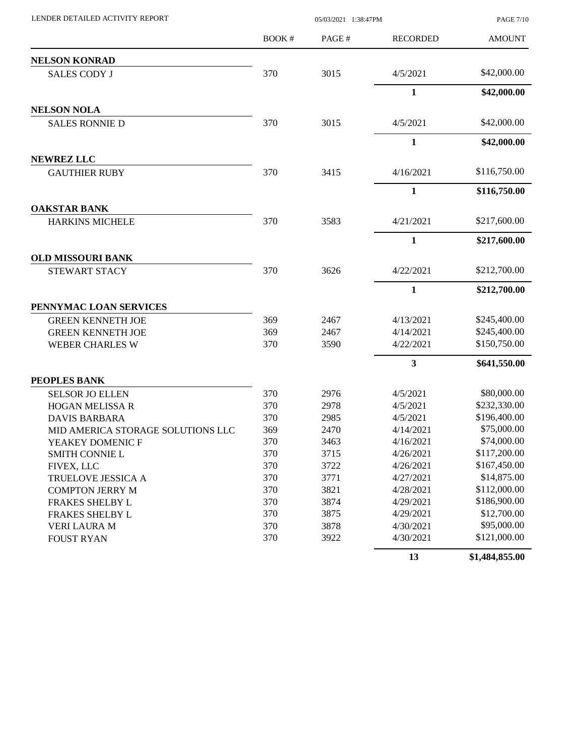| LENDER DETAILED ACTIVITY REPORT   | 05/03/2021 1:38:47PM |       |                         | <b>PAGE 7/10</b> |
|-----------------------------------|----------------------|-------|-------------------------|------------------|
|                                   | BOOK #               | PAGE# | <b>RECORDED</b>         | <b>AMOUNT</b>    |
| <b>NELSON KONRAD</b>              |                      |       |                         |                  |
| <b>SALES CODY J</b>               | 370                  | 3015  | 4/5/2021                | \$42,000.00      |
|                                   |                      |       | $\mathbf{1}$            | \$42,000.00      |
| <b>NELSON NOLA</b>                |                      |       |                         |                  |
| <b>SALES RONNIE D</b>             | 370                  | 3015  | 4/5/2021                | \$42,000.00      |
|                                   |                      |       | $\mathbf{1}$            | \$42,000.00      |
| <b>NEWREZ LLC</b>                 |                      |       |                         |                  |
| <b>GAUTHIER RUBY</b>              | 370                  | 3415  | 4/16/2021               | \$116,750.00     |
|                                   |                      |       | $\mathbf{1}$            | \$116,750.00     |
| <b>OAKSTAR BANK</b>               |                      |       |                         |                  |
| <b>HARKINS MICHELE</b>            | 370                  | 3583  | 4/21/2021               | \$217,600.00     |
|                                   |                      |       | $\mathbf{1}$            | \$217,600.00     |
| <b>OLD MISSOURI BANK</b>          |                      |       |                         |                  |
| STEWART STACY                     | 370                  | 3626  | 4/22/2021               | \$212,700.00     |
|                                   |                      |       | 1                       | \$212,700.00     |
| PENNYMAC LOAN SERVICES            |                      |       |                         |                  |
| <b>GREEN KENNETH JOE</b>          | 369                  | 2467  | 4/13/2021               | \$245,400.00     |
| <b>GREEN KENNETH JOE</b>          | 369                  | 2467  | 4/14/2021               | \$245,400.00     |
| <b>WEBER CHARLES W</b>            | 370                  | 3590  | 4/22/2021               | \$150,750.00     |
|                                   |                      |       | $\overline{\mathbf{3}}$ | \$641,550.00     |
| PEOPLES BANK                      |                      |       |                         |                  |
| <b>SELSOR JO ELLEN</b>            | 370                  | 2976  | 4/5/2021                | \$80,000.00      |
| <b>HOGAN MELISSA R</b>            | 370                  | 2978  | 4/5/2021                | \$232,330.00     |
| <b>DAVIS BARBARA</b>              | 370                  | 2985  | 4/5/2021                | \$196,400.00     |
| MID AMERICA STORAGE SOLUTIONS LLC | 369                  | 2470  | 4/14/2021               | \$75,000.00      |
| YEAKEY DOMENIC F                  | 370                  | 3463  | 4/16/2021               | \$74,000.00      |
| <b>SMITH CONNIE L</b>             | 370                  | 3715  | 4/26/2021               | \$117,200.00     |
| FIVEX, LLC                        | 370                  | 3722  | 4/26/2021               | \$167,450.00     |
| <b>TRUELOVE JESSICA A</b>         | 370                  | 3771  | 4/27/2021               | \$14,875.00      |
| <b>COMPTON JERRY M</b>            | 370                  | 3821  | 4/28/2021               | \$112,000.00     |
| FRAKES SHELBY L                   | 370                  | 3874  | 4/29/2021               | \$186,900.00     |
| FRAKES SHELBY L                   | 370                  | 3875  | 4/29/2021               | \$12,700.00      |
| VERI LAURA M                      | 370                  | 3878  | 4/30/2021               | \$95,000.00      |
| <b>FOUST RYAN</b>                 | 370                  | 3922  | 4/30/2021               | \$121,000.00     |
|                                   |                      |       | 13                      | \$1,484,855.00   |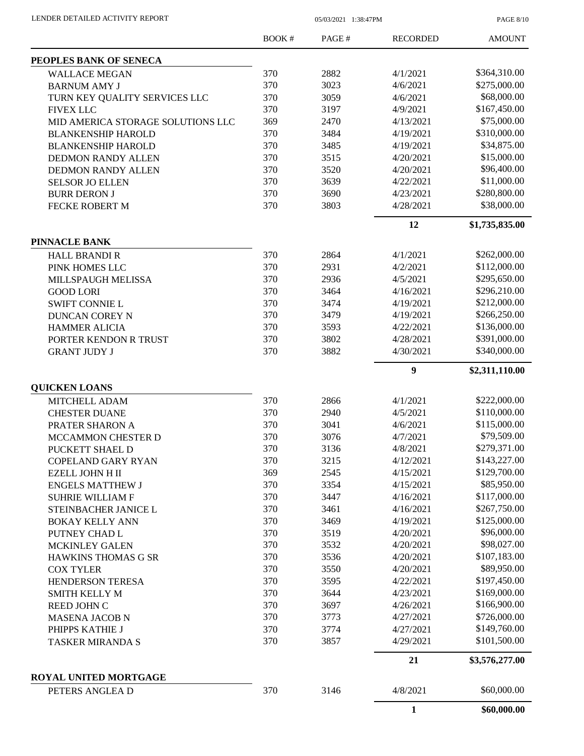PAGE 8/10

|                                            | BOOK#      | PAGE#        | <b>RECORDED</b>        | <b>AMOUNT</b>  |
|--------------------------------------------|------------|--------------|------------------------|----------------|
| PEOPLES BANK OF SENECA                     |            |              |                        |                |
| <b>WALLACE MEGAN</b>                       | 370        | 2882         | 4/1/2021               | \$364,310.00   |
| <b>BARNUM AMY J</b>                        | 370        | 3023         | 4/6/2021               | \$275,000.00   |
| TURN KEY QUALITY SERVICES LLC              | 370        | 3059         | 4/6/2021               | \$68,000.00    |
| <b>FIVEX LLC</b>                           | 370        | 3197         | 4/9/2021               | \$167,450.00   |
| MID AMERICA STORAGE SOLUTIONS LLC          | 369        | 2470         | 4/13/2021              | \$75,000.00    |
| <b>BLANKENSHIP HAROLD</b>                  | 370        | 3484         | 4/19/2021              | \$310,000.00   |
| <b>BLANKENSHIP HAROLD</b>                  | 370        | 3485         | 4/19/2021              | \$34,875.00    |
| <b>DEDMON RANDY ALLEN</b>                  | 370        | 3515         | 4/20/2021              | \$15,000.00    |
| <b>DEDMON RANDY ALLEN</b>                  | 370        | 3520         | 4/20/2021              | \$96,400.00    |
| <b>SELSOR JO ELLEN</b>                     | 370        | 3639         | 4/22/2021              | \$11,000.00    |
| <b>BURR DERON J</b>                        | 370        | 3690         | 4/23/2021              | \$280,800.00   |
| <b>FECKE ROBERT M</b>                      | 370        | 3803         | 4/28/2021              | \$38,000.00    |
|                                            |            |              | 12                     | \$1,735,835.00 |
| <b>PINNACLE BANK</b>                       |            |              |                        |                |
| <b>HALL BRANDI R</b>                       | 370        | 2864         | 4/1/2021               | \$262,000.00   |
| PINK HOMES LLC                             | 370        | 2931         | 4/2/2021               | \$112,000.00   |
| MILLSPAUGH MELISSA                         | 370        | 2936         | 4/5/2021               | \$295,650.00   |
| <b>GOOD LORI</b>                           | 370        | 3464         | 4/16/2021              | \$296,210.00   |
| <b>SWIFT CONNIE L</b>                      | 370        | 3474         | 4/19/2021              | \$212,000.00   |
| <b>DUNCAN COREY N</b>                      | 370        | 3479         | 4/19/2021              | \$266,250.00   |
| <b>HAMMER ALICIA</b>                       | 370        | 3593         | 4/22/2021              | \$136,000.00   |
| PORTER KENDON R TRUST                      | 370        | 3802         | 4/28/2021              | \$391,000.00   |
| <b>GRANT JUDY J</b>                        | 370        | 3882         | 4/30/2021              | \$340,000.00   |
|                                            |            |              | $\boldsymbol{9}$       | \$2,311,110.00 |
| <b>QUICKEN LOANS</b>                       | 370        | 2866         | 4/1/2021               | \$222,000.00   |
| MITCHELL ADAM                              | 370        | 2940         | 4/5/2021               | \$110,000.00   |
| <b>CHESTER DUANE</b>                       | 370        | 3041         | 4/6/2021               | \$115,000.00   |
| PRATER SHARON A                            | 370        | 3076         | 4/7/2021               | \$79,509.00    |
| MCCAMMON CHESTER D                         | 370        | 3136         | 4/8/2021               | \$279,371.00   |
| PUCKETT SHAEL D                            |            |              |                        | \$143,227.00   |
| <b>COPELAND GARY RYAN</b>                  | 370<br>369 | 3215<br>2545 | 4/12/2021<br>4/15/2021 | \$129,700.00   |
| EZELL JOHN H II<br><b>ENGELS MATTHEW J</b> | 370        | 3354         | 4/15/2021              | \$85,950.00    |
|                                            | 370        | 3447         | 4/16/2021              | \$117,000.00   |
| <b>SUHRIE WILLIAM F</b>                    | 370        | 3461         |                        | \$267,750.00   |
| STEINBACHER JANICE L                       | 370        | 3469         | 4/16/2021<br>4/19/2021 | \$125,000.00   |
| <b>BOKAY KELLY ANN</b>                     | 370        | 3519         | 4/20/2021              | \$96,000.00    |
| PUTNEY CHAD L                              | 370        | 3532         |                        | \$98,027.00    |
| MCKINLEY GALEN                             | 370        | 3536         | 4/20/2021              | \$107,183.00   |
| HAWKINS THOMAS G SR                        |            |              | 4/20/2021              | \$89,950.00    |
| <b>COX TYLER</b>                           | 370        | 3550         | 4/20/2021              | \$197,450.00   |
| HENDERSON TERESA                           | 370        | 3595         | 4/22/2021              |                |
| <b>SMITH KELLY M</b>                       | 370        | 3644         | 4/23/2021              | \$169,000.00   |
| REED JOHN C                                | 370        | 3697         | 4/26/2021              | \$166,900.00   |
| <b>MASENA JACOB N</b>                      | 370        | 3773         | 4/27/2021              | \$726,000.00   |
| PHIPPS KATHIE J                            | 370        | 3774         | 4/27/2021              | \$149,760.00   |
| <b>TASKER MIRANDA S</b>                    | 370        | 3857         | 4/29/2021              | \$101,500.00   |
|                                            |            |              | 21                     | \$3,576,277.00 |
| ROYAL UNITED MORTGAGE<br>PETERS ANGLEA D   | 370        | 3146         | 4/8/2021               | \$60,000.00    |
|                                            |            |              | 1                      | \$60,000.00    |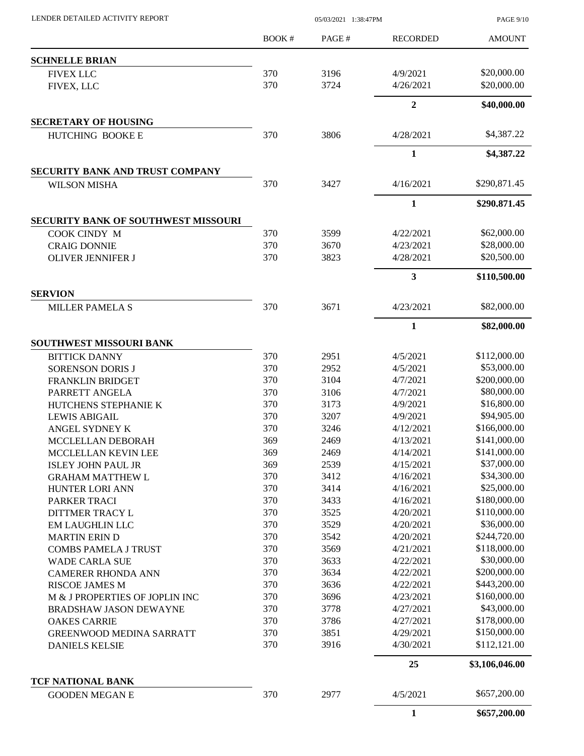| LENDER DETAILED ACTIVITY REPORT            | 05/03/2021 1:38:47PM |       |                 | <b>PAGE 9/10</b> |
|--------------------------------------------|----------------------|-------|-----------------|------------------|
|                                            | BOOK #               | PAGE# | <b>RECORDED</b> | <b>AMOUNT</b>    |
| <b>SCHNELLE BRIAN</b>                      |                      |       |                 |                  |
| <b>FIVEX LLC</b>                           | 370                  | 3196  | 4/9/2021        | \$20,000.00      |
| FIVEX, LLC                                 | 370                  | 3724  | 4/26/2021       | \$20,000.00      |
|                                            |                      |       | $\overline{2}$  | \$40,000.00      |
| <b>SECRETARY OF HOUSING</b>                |                      |       |                 |                  |
| HUTCHING BOOKE E                           | 370                  | 3806  | 4/28/2021       | \$4,387.22       |
|                                            |                      |       | $\mathbf{1}$    | \$4,387.22       |
| SECURITY BANK AND TRUST COMPANY            |                      |       |                 |                  |
| <b>WILSON MISHA</b>                        | 370                  | 3427  | 4/16/2021       | \$290,871.45     |
|                                            |                      |       | $\mathbf{1}$    | \$290,871.45     |
| <b>SECURITY BANK OF SOUTHWEST MISSOURI</b> |                      |       |                 |                  |
| COOK CINDY M                               | 370                  | 3599  | 4/22/2021       | \$62,000.00      |
| <b>CRAIG DONNIE</b>                        | 370                  | 3670  | 4/23/2021       | \$28,000.00      |
| <b>OLIVER JENNIFER J</b>                   | 370                  | 3823  | 4/28/2021       | \$20,500.00      |
|                                            |                      |       | 3               | \$110,500.00     |
| <b>SERVION</b><br><b>MILLER PAMELA S</b>   | 370                  | 3671  | 4/23/2021       | \$82,000.00      |
|                                            |                      |       | $\mathbf{1}$    | \$82,000.00      |
| <b>SOUTHWEST MISSOURI BANK</b>             |                      |       |                 |                  |
| <b>BITTICK DANNY</b>                       | 370                  | 2951  | 4/5/2021        | \$112,000.00     |
| <b>SORENSON DORIS J</b>                    | 370                  | 2952  | 4/5/2021        | \$53,000.00      |
| FRANKLIN BRIDGET                           | 370                  | 3104  | 4/7/2021        | \$200,000.00     |
| PARRETT ANGELA                             | 370                  | 3106  | 4/7/2021        | \$80,000.00      |
| HUTCHENS STEPHANIE K                       | 370                  | 3173  | 4/9/2021        | \$16,800.00      |
| <b>LEWIS ABIGAIL</b>                       | 370                  | 3207  | 4/9/2021        | \$94,905.00      |
| ANGEL SYDNEY K                             | 370                  | 3246  | 4/12/2021       | \$166,000.00     |
| MCCLELLAN DEBORAH                          | 369                  | 2469  | 4/13/2021       | \$141,000.00     |
| MCCLELLAN KEVIN LEE                        | 369                  | 2469  | 4/14/2021       | \$141,000.00     |
| <b>ISLEY JOHN PAUL JR</b>                  | 369                  | 2539  | 4/15/2021       | \$37,000.00      |
| <b>GRAHAM MATTHEW L</b>                    | 370                  | 3412  | 4/16/2021       | \$34,300.00      |
| <b>HUNTER LORI ANN</b>                     | 370                  | 3414  | 4/16/2021       | \$25,000.00      |
| PARKER TRACI                               | 370                  | 3433  | 4/16/2021       | \$180,000.00     |
| DITTMER TRACY L                            | 370                  | 3525  | 4/20/2021       | \$110,000.00     |
| <b>EM LAUGHLIN LLC</b>                     | 370                  | 3529  | 4/20/2021       | \$36,000.00      |
| <b>MARTIN ERIN D</b>                       | 370                  | 3542  | 4/20/2021       | \$244,720.00     |
| <b>COMBS PAMELA J TRUST</b>                | 370                  | 3569  | 4/21/2021       | \$118,000.00     |
| <b>WADE CARLA SUE</b>                      | 370                  | 3633  | 4/22/2021       | \$30,000.00      |
| <b>CAMERER RHONDA ANN</b>                  | 370                  | 3634  | 4/22/2021       | \$200,000.00     |
| <b>RISCOE JAMES M</b>                      | 370                  | 3636  | 4/22/2021       | \$443,200.00     |
| M & J PROPERTIES OF JOPLIN INC             | 370                  | 3696  | 4/23/2021       | \$160,000.00     |
| <b>BRADSHAW JASON DEWAYNE</b>              | 370                  | 3778  | 4/27/2021       | \$43,000.00      |
| <b>OAKES CARRIE</b>                        | 370                  | 3786  | 4/27/2021       | \$178,000.00     |
| <b>GREENWOOD MEDINA SARRATT</b>            | 370                  | 3851  | 4/29/2021       | \$150,000.00     |
| <b>DANIELS KELSIE</b>                      | 370                  | 3916  | 4/30/2021       | \$112,121.00     |
|                                            |                      |       | 25              | \$3,106,046.00   |
| TCF NATIONAL BANK                          |                      |       |                 |                  |
| <b>GOODEN MEGAN E</b>                      | 370                  | 2977  | 4/5/2021        | \$657,200.00     |
|                                            |                      |       | $\mathbf{1}$    | \$657,200.00     |